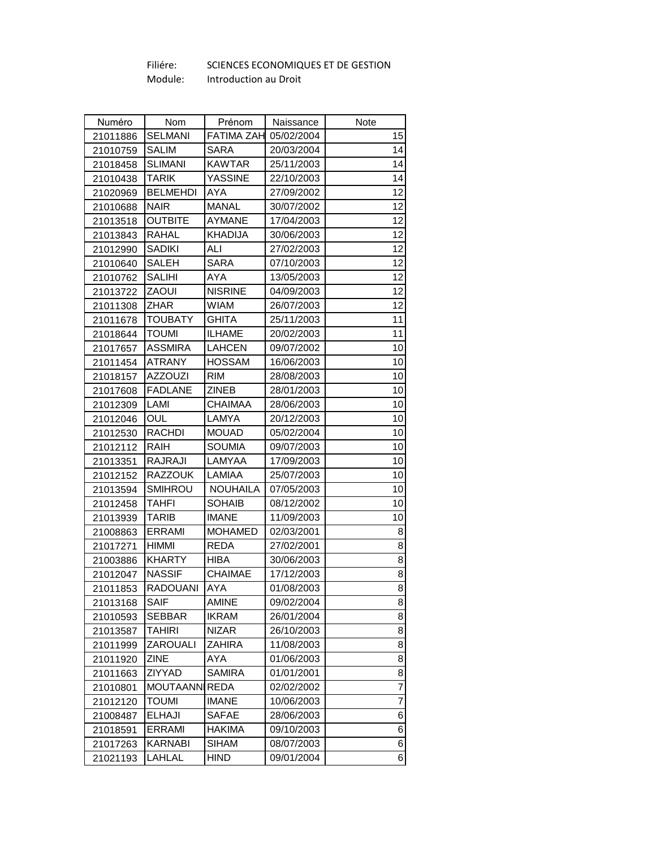## Filiére: Module: SCIENCES ECONOMIQUES ET DE GESTION Introduction au Droit

| Numéro   | Nom                  | Prénom            | Naissance  | Note |
|----------|----------------------|-------------------|------------|------|
| 21011886 | <b>SELMANI</b>       | <b>FATIMA ZAH</b> | 05/02/2004 | 15   |
| 21010759 | <b>SALIM</b>         | SARA              | 20/03/2004 | 14   |
| 21018458 | <b>SLIMANI</b>       | <b>KAWTAR</b>     | 25/11/2003 | 14   |
| 21010438 | TARIK                | <b>YASSINE</b>    | 22/10/2003 | 14   |
| 21020969 | <b>BELMEHDI</b>      | <b>AYA</b>        | 27/09/2002 | 12   |
| 21010688 | <b>NAIR</b>          | <b>MANAL</b>      | 30/07/2002 | 12   |
| 21013518 | <b>OUTBITE</b>       | <b>AYMANE</b>     | 17/04/2003 | 12   |
| 21013843 | <b>RAHAL</b>         | <b>KHADIJA</b>    | 30/06/2003 | 12   |
| 21012990 | <b>SADIKI</b>        | ALI               | 27/02/2003 | 12   |
| 21010640 | SALEH                | SARA              | 07/10/2003 | 12   |
| 21010762 | <b>SALIHI</b>        | AYA               | 13/05/2003 | 12   |
| 21013722 | <b>ZAOUI</b>         | <b>NISRINE</b>    | 04/09/2003 | 12   |
| 21011308 | ZHAR                 | <b>WIAM</b>       | 26/07/2003 | 12   |
| 21011678 | <b>TOUBATY</b>       | GHITA             | 25/11/2003 | 11   |
| 21018644 | toumi                | <b>ILHAME</b>     | 20/02/2003 | 11   |
| 21017657 | <b>ASSMIRA</b>       | <b>LAHCEN</b>     | 09/07/2002 | 10   |
| 21011454 | <b>ATRANY</b>        | <b>HOSSAM</b>     | 16/06/2003 | 10   |
| 21018157 | <b>AZZOUZI</b>       | <b>RIM</b>        | 28/08/2003 | 10   |
| 21017608 | <b>FADLANE</b>       | ZINEB             | 28/01/2003 | 10   |
| 21012309 | LAMI                 | <b>CHAIMAA</b>    | 28/06/2003 | 10   |
| 21012046 | OUL                  | LAMYA             | 20/12/2003 | 10   |
| 21012530 | <b>RACHDI</b>        | <b>MOUAD</b>      | 05/02/2004 | 10   |
| 21012112 | RAIH                 | <b>SOUMIA</b>     | 09/07/2003 | 10   |
| 21013351 | RAJRAJI              | LAMYAA            | 17/09/2003 | 10   |
| 21012152 | <b>RAZZOUK</b>       | LAMIAA            | 25/07/2003 | 10   |
| 21013594 | <b>SMIHROU</b>       | <b>NOUHAILA</b>   | 07/05/2003 | 10   |
| 21012458 | <b>TAHFI</b>         | <b>SOHAIB</b>     | 08/12/2002 | 10   |
| 21013939 | TARIB                | <b>IMANE</b>      | 11/09/2003 | 10   |
| 21008863 | <b>ERRAMI</b>        | <b>MOHAMED</b>    | 02/03/2001 | 8    |
| 21017271 | HIMMI                | REDA              | 27/02/2001 | 8    |
| 21003886 | <b>KHARTY</b>        | <b>HIBA</b>       | 30/06/2003 | 8    |
| 21012047 | <b>NASSIF</b>        | CHAIMAE           | 17/12/2003 | 8    |
| 21011853 | <b>RADOUANI</b>      | <b>AYA</b>        | 01/08/2003 | 8    |
| 21013168 | <b>SAIF</b>          | <b>AMINE</b>      | 09/02/2004 | 8    |
| 21010593 | SEBBAR               | <b>IKRAM</b>      | 26/01/2004 | 8    |
| 21013587 | <b>TAHIRI</b>        | <b>NIZAR</b>      | 26/10/2003 | 8    |
| 21011999 | ZAROUALI             | ZAHIRA            | 11/08/2003 | 8    |
| 21011920 | ZINE                 | AYA               | 01/06/2003 | 8    |
| 21011663 | ZIYYAD               | <b>SAMIRA</b>     | 01/01/2001 | 8    |
| 21010801 | <b>MOUTAANNIREDA</b> |                   | 02/02/2002 | 7    |
| 21012120 | <b>TOUMI</b>         | <b>IMANE</b>      | 10/06/2003 | 7    |
| 21008487 | <b>ELHAJI</b>        | <b>SAFAE</b>      | 28/06/2003 | 6    |
| 21018591 | <b>ERRAMI</b>        | <b>HAKIMA</b>     | 09/10/2003 | 6    |
| 21017263 | <b>KARNABI</b>       | <b>SIHAM</b>      | 08/07/2003 | 6    |
| 21021193 | LAHLAL               | <b>HIND</b>       | 09/01/2004 | 6    |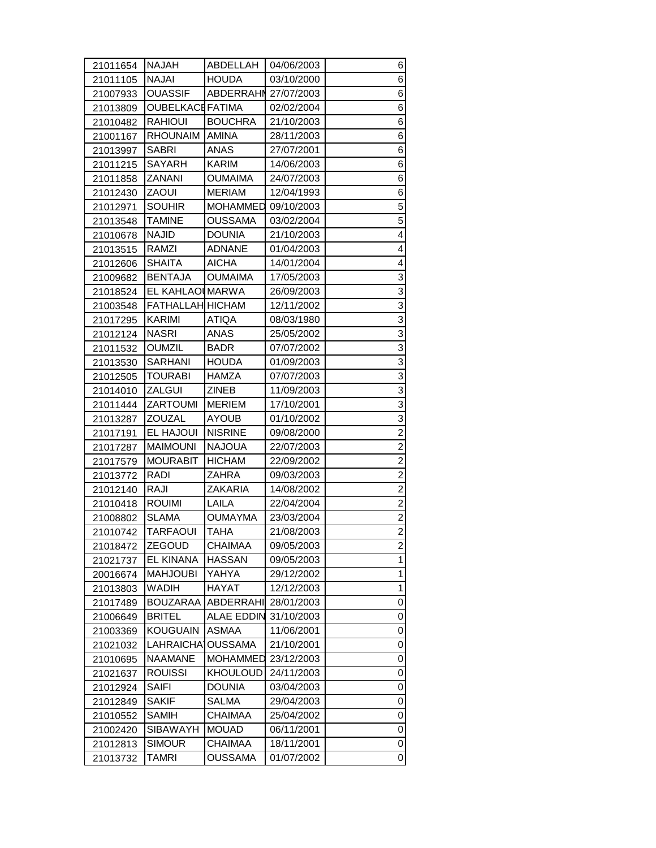| 21011654 | NAJAH                   | ABDELLAH             | 04/06/2003 | 6                       |
|----------|-------------------------|----------------------|------------|-------------------------|
| 21011105 | NAJAI                   | <b>HOUDA</b>         | 03/10/2000 | 6                       |
| 21007933 | <b>OUASSIF</b>          | ABDERRAHN 27/07/2003 |            | 6                       |
| 21013809 | <b>OUBELKACEFATIMA</b>  |                      | 02/02/2004 | 6                       |
| 21010482 | <b>RAHIOUI</b>          | <b>BOUCHRA</b>       | 21/10/2003 | 6                       |
| 21001167 | <b>RHOUNAIM</b>         | <b>AMINA</b>         | 28/11/2003 | 6                       |
| 21013997 | <b>SABRI</b>            | <b>ANAS</b>          | 27/07/2001 | 6                       |
| 21011215 | <b>SAYARH</b>           | <b>KARIM</b>         | 14/06/2003 | 6                       |
| 21011858 | ZANANI                  | <b>OUMAIMA</b>       | 24/07/2003 | 6                       |
| 21012430 | ZAOUI                   | <b>MERIAM</b>        | 12/04/1993 | 6                       |
| 21012971 | <b>SOUHIR</b>           | MOHAMMED             | 09/10/2003 | 5                       |
| 21013548 | <b>TAMINE</b>           | <b>OUSSAMA</b>       | 03/02/2004 | 5                       |
| 21010678 | <b>NAJID</b>            | <b>DOUNIA</b>        | 21/10/2003 | 4                       |
| 21013515 | RAMZI                   | ADNANE               | 01/04/2003 | 4                       |
| 21012606 | <b>SHAITA</b>           | <b>AICHA</b>         | 14/01/2004 | 4                       |
| 21009682 | <b>BENTAJA</b>          | <b>OUMAIMA</b>       | 17/05/2003 | 3                       |
| 21018524 | EL KAHLAOI MARWA        |                      | 26/09/2003 | 3                       |
| 21003548 | <b>FATHALLAH HICHAM</b> |                      | 12/11/2002 | 3                       |
| 21017295 | <b>KARIMI</b>           | <b>ATIQA</b>         | 08/03/1980 | 3                       |
| 21012124 | NASRI                   | ANAS                 | 25/05/2002 | $\overline{3}$          |
| 21011532 | <b>OUMZIL</b>           | BADR                 | 07/07/2002 | $\overline{3}$          |
| 21013530 | SARHANI                 | <b>HOUDA</b>         | 01/09/2003 | 3                       |
| 21012505 | <b>TOURABI</b>          | <b>HAMZA</b>         | 07/07/2003 | 3                       |
| 21014010 | ZALGUI                  | ZINEB                | 11/09/2003 | 3                       |
| 21011444 | <b>ZARTOUMI</b>         | <b>MERIEM</b>        | 17/10/2001 | $\overline{3}$          |
|          |                         |                      |            |                         |
| 21013287 | ZOUZAL                  | <b>AYOUB</b>         | 01/10/2002 | $\overline{3}$          |
| 21017191 | EL HAJOUI               | <b>NISRINE</b>       | 09/08/2000 | $\overline{\mathbf{c}}$ |
| 21017287 | <b>MAIMOUNI</b>         | <b>NAJOUA</b>        | 22/07/2003 | $\overline{c}$          |
| 21017579 | <b>MOURABIT</b>         | <b>HICHAM</b>        | 22/09/2002 | $\overline{c}$          |
| 21013772 | RADI                    | ZAHRA                | 09/03/2003 | $\overline{2}$          |
| 21012140 | RAJI                    | <b>ZAKARIA</b>       | 14/08/2002 | $\overline{2}$          |
| 21010418 | <b>ROUIMI</b>           | LAILA                | 22/04/2004 | $\overline{\mathbf{c}}$ |
| 21008802 | <b>SLAMA</b>            | <b>OUMAYMA</b>       | 23/03/2004 | $\overline{2}$          |
| 21010742 | TARFAOUI                | TAHA                 | 21/08/2003 | $\overline{a}$          |
| 21018472 | ZEGOUD                  | CHAIMAA              | 09/05/2003 | 2                       |
| 21021737 | EL KINANA               | <b>HASSAN</b>        | 09/05/2003 | 1                       |
| 20016674 | <b>MAHJOUBI</b>         | YAHYA                | 29/12/2002 | 1                       |
| 21013803 | <b>WADIH</b>            | <b>HAYAT</b>         | 12/12/2003 | 1                       |
| 21017489 | <b>BOUZARAA</b>         | ABDERRAHI            | 28/01/2003 | 0                       |
| 21006649 | <b>BRITEL</b>           | <b>ALAE EDDIN</b>    | 31/10/2003 | 0                       |
| 21003369 | KOUGUAIN                | ASMAA                | 11/06/2001 | 0                       |
| 21021032 | LAHRAICHA <sup>1</sup>  | <b>OUSSAMA</b>       | 21/10/2001 | 0                       |
| 21010695 | <b>NAAMANE</b>          | <b>MOHAMMED</b>      | 23/12/2003 | 0                       |
| 21021637 | <b>ROUISSI</b>          | KHOULOUD             | 24/11/2003 | 0                       |
| 21012924 | SAIFI                   | <b>DOUNIA</b>        | 03/04/2003 | 0                       |
| 21012849 | <b>SAKIF</b>            | SALMA                | 29/04/2003 | 0                       |
| 21010552 | <b>SAMIH</b>            | CHAIMAA              | 25/04/2002 | 0                       |
| 21002420 | SIBAWAYH                | <b>MOUAD</b>         | 06/11/2001 | 0                       |
| 21012813 | <b>SIMOUR</b>           | CHAIMAA              | 18/11/2001 | 0                       |